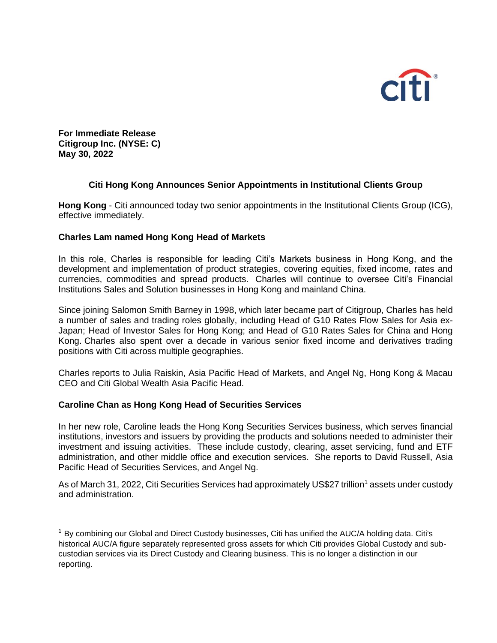

**For Immediate Release Citigroup Inc. (NYSE: C) May 30, 2022**

## **Citi Hong Kong Announces Senior Appointments in Institutional Clients Group**

**Hong Kong** - Citi announced today two senior appointments in the Institutional Clients Group (ICG), effective immediately.

## **Charles Lam named Hong Kong Head of Markets**

In this role, Charles is responsible for leading Citi's Markets business in Hong Kong, and the development and implementation of product strategies, covering equities, fixed income, rates and currencies, commodities and spread products. Charles will continue to oversee Citi's Financial Institutions Sales and Solution businesses in Hong Kong and mainland China.

Since joining Salomon Smith Barney in 1998, which later became part of Citigroup, Charles has held a number of sales and trading roles globally, including Head of G10 Rates Flow Sales for Asia ex-Japan; Head of Investor Sales for Hong Kong; and Head of G10 Rates Sales for China and Hong Kong. Charles also spent over a decade in various senior fixed income and derivatives trading positions with Citi across multiple geographies.

Charles reports to Julia Raiskin, Asia Pacific Head of Markets, and Angel Ng, Hong Kong & Macau CEO and Citi Global Wealth Asia Pacific Head.

## **Caroline Chan as Hong Kong Head of Securities Services**

In her new role, Caroline leads the Hong Kong Securities Services business, which serves financial institutions, investors and issuers by providing the products and solutions needed to administer their investment and issuing activities. These include custody, clearing, asset servicing, fund and ETF administration, and other middle office and execution services. She reports to David Russell, Asia Pacific Head of Securities Services, and Angel Ng.

As of March 31, 2022, Citi Securities Services had approximately US\$27 trillion<sup>1</sup> assets under custody and administration.

<sup>&</sup>lt;sup>1</sup> By combining our Global and Direct Custody businesses, Citi has unified the AUC/A holding data. Citi's historical AUC/A figure separately represented gross assets for which Citi provides Global Custody and subcustodian services via its Direct Custody and Clearing business. This is no longer a distinction in our reporting.